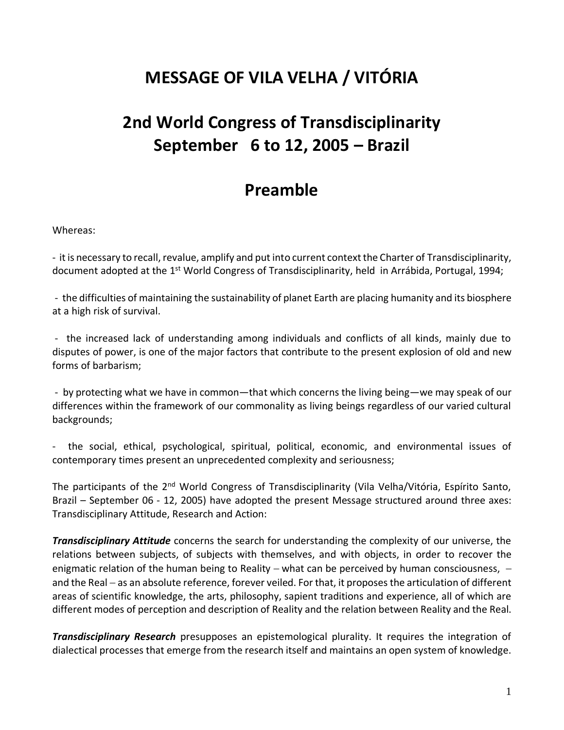## **MESSAGE OF VILA VELHA / VITÓRIA**

# **2nd World Congress of Transdisciplinarity September 6 to 12, 2005 – Brazil**

### **Preamble**

Whereas:

- it is necessary to recall, revalue, amplify and put into current context the Charter of Transdisciplinarity, document adopted at the  $1<sup>st</sup>$  World Congress of Transdisciplinarity, held in Arrábida, Portugal, 1994;

- the difficulties of maintaining the sustainability of planet Earth are placing humanity and its biosphere at a high risk of survival.

- the increased lack of understanding among individuals and conflicts of all kinds, mainly due to disputes of power, is one of the major factors that contribute to the present explosion of old and new forms of barbarism;

- by protecting what we have in common—that which concerns the living being—we may speak of our differences within the framework of our commonality as living beings regardless of our varied cultural backgrounds;

- the social, ethical, psychological, spiritual, political, economic, and environmental issues of contemporary times present an unprecedented complexity and seriousness;

The participants of the 2<sup>nd</sup> World Congress of Transdisciplinarity (Vila Velha/Vitória, Espírito Santo, Brazil – September 06 - 12, 2005) have adopted the present Message structured around three axes: Transdisciplinary Attitude, Research and Action:

*Transdisciplinary Attitude* concerns the search for understanding the complexity of our universe, the relations between subjects, of subjects with themselves, and with objects, in order to recover the enigmatic relation of the human being to Reality – what can be perceived by human consciousness, – and the Real − as an absolute reference, forever veiled. For that, it proposes the articulation of different areas of scientific knowledge, the arts, philosophy, sapient traditions and experience, all of which are different modes of perception and description of Reality and the relation between Reality and the Real.

*Transdisciplinary Research* presupposes an epistemological plurality. It requires the integration of dialectical processes that emerge from the research itself and maintains an open system of knowledge.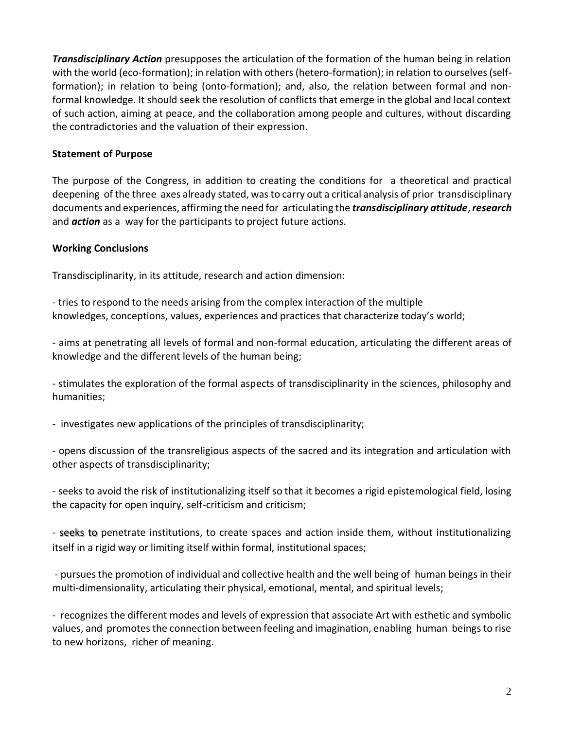*Transdisciplinary Action* presupposes the articulation of the formation of the human being in relation with the world (eco-formation); in relation with others (hetero-formation); in relation to ourselves (selfformation); in relation to being (onto-formation); and, also, the relation between formal and nonformal knowledge. It should seek the resolution of conflicts that emerge in the global and local context of such action, aiming at peace, and the collaboration among people and cultures, without discarding the contradictories and the valuation of their expression.

#### **Statement of Purpose**

The purpose of the Congress, in addition to creating the conditions for a theoretical and practical deepening of the three axes already stated, was to carry out a critical analysis of prior transdisciplinary documents and experiences, affirming the need for articulating the *transdisciplinary attitude*, *research* and *action* as a way for the participants to project future actions.

#### **Working Conclusions**

Transdisciplinarity, in its attitude, research and action dimension:

- tries to respond to the needs arising from the complex interaction of the multiple knowledges, conceptions, values, experiences and practices that characterize today's world;

- aims at penetrating all levels of formal and non-formal education, articulating the different areas of knowledge and the different levels of the human being;

- stimulates the exploration of the formal aspects of transdisciplinarity in the sciences, philosophy and humanities;

- investigates new applications of the principles of transdisciplinarity;

- opens discussion of the transreligious aspects of the sacred and its integration and articulation with other aspects of transdisciplinarity;

- seeks to avoid the risk of institutionalizing itself so that it becomes a rigid epistemological field, losing the capacity for open inquiry, self-criticism and criticism;

- seeks to penetrate institutions, to create spaces and action inside them, without institutionalizing itself in a rigid way or limiting itself within formal, institutional spaces;

- pursues the promotion of individual and collective health and the well being of human beings in their multi-dimensionality, articulating their physical, emotional, mental, and spiritual levels;

- recognizes the different modes and levels of expression that associate Art with esthetic and symbolic values, and promotes the connection between feeling and imagination, enabling human beings to rise to new horizons, richer of meaning.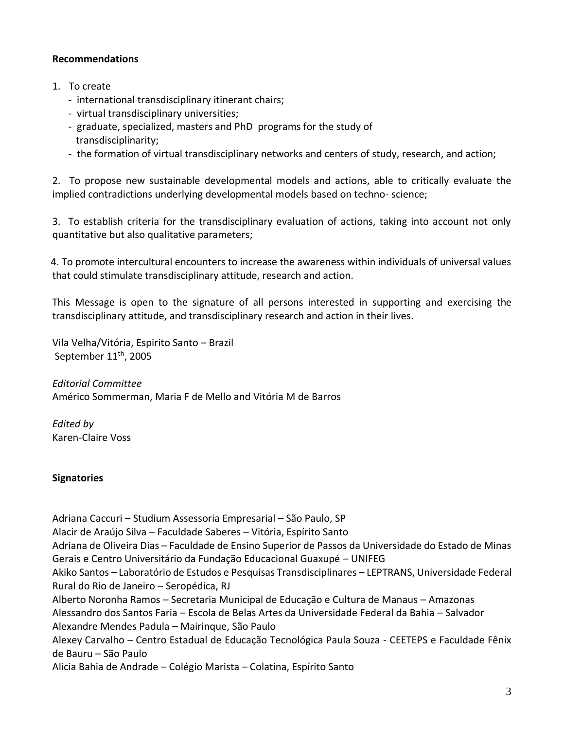#### **Recommendations**

- 1. To create
	- international transdisciplinary itinerant chairs;
	- virtual transdisciplinary universities;
	- graduate, specialized, masters and PhD programs for the study of transdisciplinarity;
	- the formation of virtual transdisciplinary networks and centers of study, research, and action;

2. To propose new sustainable developmental models and actions, able to critically evaluate the implied contradictions underlying developmental models based on techno- science;

3. To establish criteria for the transdisciplinary evaluation of actions, taking into account not only quantitative but also qualitative parameters;

4. To promote intercultural encounters to increase the awareness within individuals of universal values that could stimulate transdisciplinary attitude, research and action.

This Message is open to the signature of all persons interested in supporting and exercising the transdisciplinary attitude, and transdisciplinary research and action in their lives.

Vila Velha/Vitória, Espirito Santo – Brazil September  $11<sup>th</sup>$ , 2005

*Editorial Committee* Américo Sommerman, Maria F de Mello and Vitória M de Barros

*Edited by* Karen-Claire Voss

#### **Signatories**

Adriana Caccuri – Studium Assessoria Empresarial – São Paulo, SP Alacir de Araújo Silva – Faculdade Saberes – Vitória, Espírito Santo Adriana de Oliveira Dias – Faculdade de Ensino Superior de Passos da Universidade do Estado de Minas Gerais e Centro Universitário da Fundação Educacional Guaxupé – UNIFEG Akiko Santos – Laboratório de Estudos e Pesquisas Transdisciplinares – LEPTRANS, Universidade Federal Rural do Rio de Janeiro – Seropédica, RJ Alberto Noronha Ramos – Secretaria Municipal de Educação e Cultura de Manaus – Amazonas Alessandro dos Santos Faria – Escola de Belas Artes da Universidade Federal da Bahia – Salvador Alexandre Mendes Padula – Mairinque, São Paulo Alexey Carvalho – Centro Estadual de Educação Tecnológica Paula Souza - CEETEPS e Faculdade Fênix de Bauru – São Paulo Alicia Bahia de Andrade – Colégio Marista – Colatina, Espírito Santo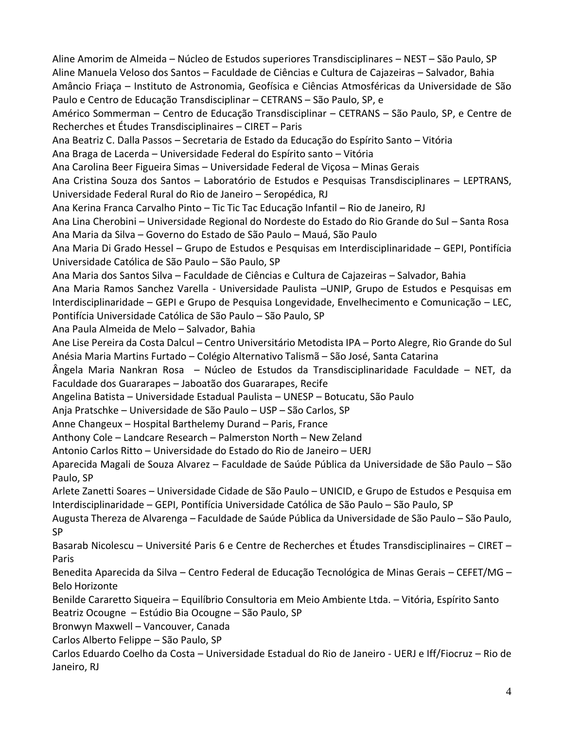Aline Amorim de Almeida – Núcleo de Estudos superiores Transdisciplinares – NEST – São Paulo, SP Aline Manuela Veloso dos Santos – Faculdade de Ciências e Cultura de Cajazeiras – Salvador, Bahia Amâncio Friaça – Instituto de Astronomia, Geofísica e Ciências Atmosféricas da Universidade de São Paulo e Centro de Educação Transdisciplinar – CETRANS – São Paulo, SP, e Américo Sommerman – Centro de Educação Transdisciplinar – CETRANS – São Paulo, SP, e Centre de Recherches et Études Transdisciplinaires – CIRET – Paris Ana Beatriz C. Dalla Passos – Secretaria de Estado da Educação do Espírito Santo – Vitória Ana Braga de Lacerda – Universidade Federal do Espírito santo – Vitória Ana Carolina Beer Figueira Simas – Universidade Federal de Viçosa – Minas Gerais Ana Cristina Souza dos Santos – Laboratório de Estudos e Pesquisas Transdisciplinares – LEPTRANS, Universidade Federal Rural do Rio de Janeiro – Seropédica, RJ Ana Kerina Franca Carvalho Pinto – Tic Tic Tac Educação Infantil – Rio de Janeiro, RJ Ana Lina Cherobini – Universidade Regional do Nordeste do Estado do Rio Grande do Sul – Santa Rosa Ana Maria da Silva – Governo do Estado de São Paulo – Mauá, São Paulo Ana Maria Di Grado Hessel – Grupo de Estudos e Pesquisas em Interdisciplinaridade – GEPI, Pontifícia Universidade Católica de São Paulo – São Paulo, SP Ana Maria dos Santos Silva – Faculdade de Ciências e Cultura de Cajazeiras – Salvador, Bahia Ana Maria Ramos Sanchez Varella - Universidade Paulista –UNIP, Grupo de Estudos e Pesquisas em Interdisciplinaridade – GEPI e Grupo de Pesquisa Longevidade, Envelhecimento e Comunicação – LEC, Pontifícia Universidade Católica de São Paulo – São Paulo, SP Ana Paula Almeida de Melo – Salvador, Bahia Ane Lise Pereira da Costa Dalcul – Centro Universitário Metodista IPA – Porto Alegre, Rio Grande do Sul Anésia Maria Martins Furtado – Colégio Alternativo Talismã – São José, Santa Catarina Ângela Maria Nankran Rosa – Núcleo de Estudos da Transdisciplinaridade Faculdade – NET, da Faculdade dos Guararapes – Jaboatão dos Guararapes, Recife Angelina Batista – Universidade Estadual Paulista – UNESP – Botucatu, São Paulo Anja Pratschke – Universidade de São Paulo – USP – São Carlos, SP Anne Changeux – Hospital Barthelemy Durand – Paris, France Anthony Cole – Landcare Research – Palmerston North – New Zeland Antonio Carlos Ritto – Universidade do Estado do Rio de Janeiro – UERJ Aparecida Magali de Souza Alvarez – Faculdade de Saúde Pública da Universidade de São Paulo – São Paulo, SP Arlete Zanetti Soares – Universidade Cidade de São Paulo – UNICID, e Grupo de Estudos e Pesquisa em Interdisciplinaridade – GEPI, Pontifícia Universidade Católica de São Paulo – São Paulo, SP Augusta Thereza de Alvarenga – Faculdade de Saúde Pública da Universidade de São Paulo – São Paulo, SP Basarab Nicolescu – Université Paris 6 e Centre de Recherches et Études Transdisciplinaires – CIRET – Paris Benedita Aparecida da Silva – Centro Federal de Educação Tecnológica de Minas Gerais – CEFET/MG – Belo Horizonte Benilde Cararetto Siqueira – Equilíbrio Consultoria em Meio Ambiente Ltda. – Vitória, Espírito Santo Beatriz Ocougne – Estúdio Bia Ocougne – São Paulo, SP Bronwyn Maxwell – Vancouver, Canada Carlos Alberto Felippe – São Paulo, SP Carlos Eduardo Coelho da Costa – Universidade Estadual do Rio de Janeiro - UERJ e Iff/Fiocruz – Rio de Janeiro, RJ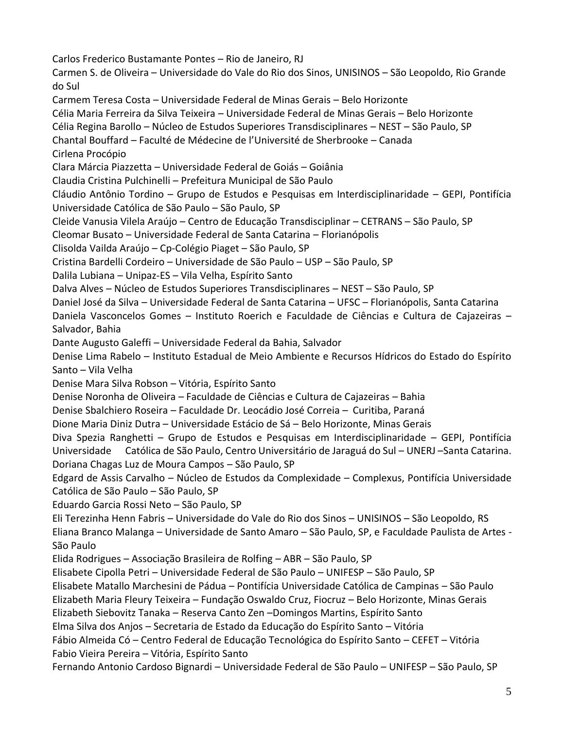Carlos Frederico Bustamante Pontes – Rio de Janeiro, RJ

Carmen S. de Oliveira – Universidade do Vale do Rio dos Sinos, UNISINOS – São Leopoldo, Rio Grande do Sul

Carmem Teresa Costa – Universidade Federal de Minas Gerais – Belo Horizonte Célia Maria Ferreira da Silva Teixeira – Universidade Federal de Minas Gerais – Belo Horizonte

Célia Regina Barollo – Núcleo de Estudos Superiores Transdisciplinares – NEST – São Paulo, SP

Chantal Bouffard – Faculté de Médecine de l'Université de Sherbrooke – Canada Cirlena Procópio

Clara Márcia Piazzetta – Universidade Federal de Goiás – Goiânia

Claudia Cristina Pulchinelli – Prefeitura Municipal de São Paulo

Cláudio Antônio Tordino – Grupo de Estudos e Pesquisas em Interdisciplinaridade – GEPI, Pontifícia Universidade Católica de São Paulo – São Paulo, SP

Cleide Vanusia Vilela Araújo – Centro de Educação Transdisciplinar – CETRANS – São Paulo, SP

Cleomar Busato – Universidade Federal de Santa Catarina – Florianópolis

Clisolda Vailda Araújo – Cp-Colégio Piaget – São Paulo, SP

Cristina Bardelli Cordeiro – Universidade de São Paulo – USP – São Paulo, SP

Dalila Lubiana – Unipaz-ES – Vila Velha, Espírito Santo

Dalva Alves – Núcleo de Estudos Superiores Transdisciplinares – NEST – São Paulo, SP

Daniel José da Silva – Universidade Federal de Santa Catarina – UFSC – Florianópolis, Santa Catarina

Daniela Vasconcelos Gomes – Instituto Roerich e Faculdade de Ciências e Cultura de Cajazeiras – Salvador, Bahia

Dante Augusto Galeffi – Universidade Federal da Bahia, Salvador

Denise Lima Rabelo – Instituto Estadual de Meio Ambiente e Recursos Hídricos do Estado do Espírito Santo – Vila Velha

Denise Mara Silva Robson – Vitória, Espírito Santo

Denise Noronha de Oliveira – Faculdade de Ciências e Cultura de Cajazeiras – Bahia

Denise Sbalchiero Roseira – Faculdade Dr. Leocádio José Correia – Curitiba, Paraná

Dione Maria Diniz Dutra – Universidade Estácio de Sá – Belo Horizonte, Minas Gerais

Diva Spezia Ranghetti – Grupo de Estudos e Pesquisas em Interdisciplinaridade – GEPI, Pontifícia Universidade Católica de São Paulo, Centro Universitário de Jaraguá do Sul – UNERJ –Santa Catarina. Doriana Chagas Luz de Moura Campos – São Paulo, SP

Edgard de Assis Carvalho – Núcleo de Estudos da Complexidade – Complexus, Pontifícia Universidade Católica de São Paulo – São Paulo, SP

Eduardo Garcia Rossi Neto – São Paulo, SP

Eli Terezinha Henn Fabris – Universidade do Vale do Rio dos Sinos – UNISINOS – São Leopoldo, RS

Eliana Branco Malanga – Universidade de Santo Amaro – São Paulo, SP, e Faculdade Paulista de Artes - São Paulo

Elida Rodrigues – Associação Brasileira de Rolfing – ABR – São Paulo, SP

Elisabete Cipolla Petri – Universidade Federal de São Paulo – UNIFESP – São Paulo, SP

Elisabete Matallo Marchesini de Pádua – Pontifícia Universidade Católica de Campinas – São Paulo

Elizabeth Maria Fleury Teixeira – Fundação Oswaldo Cruz, Fiocruz – Belo Horizonte, Minas Gerais

Elizabeth Siebovitz Tanaka – Reserva Canto Zen –Domingos Martins, Espírito Santo

Elma Silva dos Anjos – Secretaria de Estado da Educação do Espírito Santo – Vitória

Fábio Almeida Có – Centro Federal de Educação Tecnológica do Espírito Santo – CEFET – Vitória Fabio Vieira Pereira – Vitória, Espírito Santo

Fernando Antonio Cardoso Bignardi – Universidade Federal de São Paulo – UNIFESP – São Paulo, SP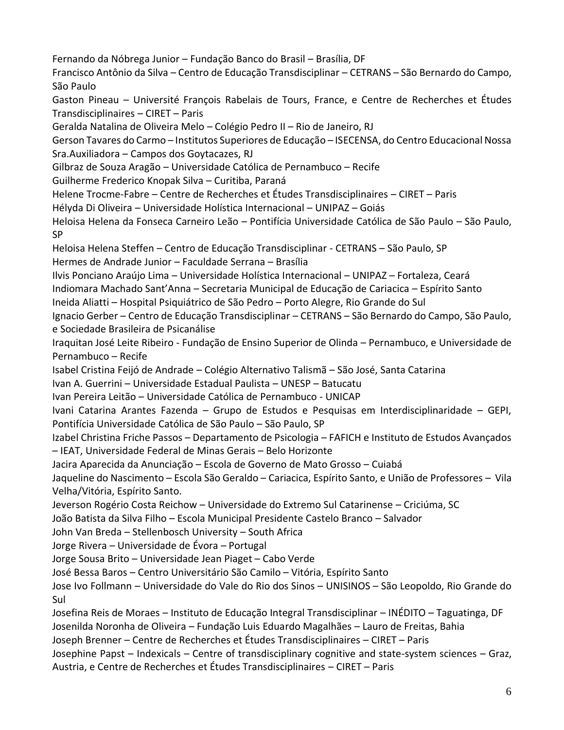Fernando da Nóbrega Junior – Fundação Banco do Brasil – Brasília, DF Francisco Antônio da Silva – Centro de Educação Transdisciplinar – CETRANS – São Bernardo do Campo, São Paulo Gaston Pineau – Université François Rabelais de Tours, France, e Centre de Recherches et Études Transdisciplinaires – CIRET – Paris Geralda Natalina de Oliveira Melo – Colégio Pedro II – Rio de Janeiro, RJ Gerson Tavares do Carmo – Institutos Superiores de Educação – ISECENSA, do Centro Educacional Nossa Sra.Auxiliadora – Campos dos Goytacazes, RJ Gilbraz de Souza Aragão – Universidade Católica de Pernambuco – Recife Guilherme Frederico Knopak Silva – Curitiba, Paraná Helene Trocme-Fabre – Centre de Recherches et Études Transdisciplinaires – CIRET – Paris Hélyda Di Oliveira – Universidade Holística Internacional – UNIPAZ – Goiás Heloisa Helena da Fonseca Carneiro Leão – Pontifícia Universidade Católica de São Paulo – São Paulo, SP Heloisa Helena Steffen – Centro de Educação Transdisciplinar - CETRANS – São Paulo, SP Hermes de Andrade Junior – Faculdade Serrana – Brasília Ilvis Ponciano Araújo Lima – Universidade Holística Internacional – UNIPAZ – Fortaleza, Ceará Indiomara Machado Sant'Anna – Secretaria Municipal de Educação de Cariacica – Espírito Santo Ineida Aliatti – Hospital Psiquiátrico de São Pedro – Porto Alegre, Rio Grande do Sul Ignacio Gerber – Centro de Educação Transdisciplinar – CETRANS – São Bernardo do Campo, São Paulo, e Sociedade Brasileira de Psicanálise Iraquitan José Leite Ribeiro - Fundação de Ensino Superior de Olinda – Pernambuco, e Universidade de Pernambuco – Recife Isabel Cristina Feijó de Andrade – Colégio Alternativo Talismã – São José, Santa Catarina Ivan A. Guerrini – Universidade Estadual Paulista – UNESP – Batucatu Ivan Pereira Leitão – Universidade Católica de Pernambuco - UNICAP Ivani Catarina Arantes Fazenda – Grupo de Estudos e Pesquisas em Interdisciplinaridade – GEPI, Pontifícia Universidade Católica de São Paulo – São Paulo, SP Izabel Christina Friche Passos – Departamento de Psicologia – FAFICH e Instituto de Estudos Avançados – IEAT, Universidade Federal de Minas Gerais – Belo Horizonte Jacira Aparecida da Anunciação – Escola de Governo de Mato Grosso – Cuiabá Jaqueline do Nascimento – Escola São Geraldo – Cariacica, Espírito Santo, e União de Professores – Vila Velha/Vitória, Espírito Santo. Jeverson Rogério Costa Reichow – Universidade do Extremo Sul Catarinense – Criciúma, SC João Batista da Silva Filho – Escola Municipal Presidente Castelo Branco – Salvador John Van Breda – Stellenbosch University – South Africa Jorge Rivera – Universidade de Évora – Portugal Jorge Sousa Brito – Universidade Jean Piaget – Cabo Verde José Bessa Baros – Centro Universitário São Camilo – Vitória, Espírito Santo Jose Ivo Follmann – Universidade do Vale do Rio dos Sinos – UNISINOS – São Leopoldo, Rio Grande do Sul Josefina Reis de Moraes – Instituto de Educação Integral Transdisciplinar – INÉDITO – Taguatinga, DF Josenilda Noronha de Oliveira – Fundação Luis Eduardo Magalhães – Lauro de Freitas, Bahia Joseph Brenner – Centre de Recherches et Études Transdisciplinaires – CIRET – Paris Josephine Papst – Indexicals – Centre of transdisciplinary cognitive and state-system sciences – Graz, Austria, e Centre de Recherches et Études Transdisciplinaires – CIRET – Paris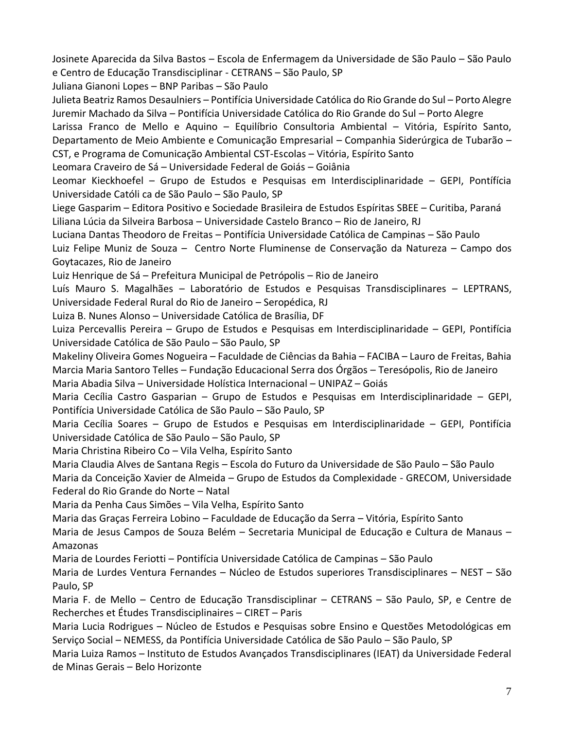Josinete Aparecida da Silva Bastos – Escola de Enfermagem da Universidade de São Paulo – São Paulo e Centro de Educação Transdisciplinar - CETRANS – São Paulo, SP

Juliana Gianoni Lopes – BNP Paribas – São Paulo

Julieta Beatriz Ramos Desaulniers – Pontifícia Universidade Católica do Rio Grande do Sul – Porto Alegre Juremir Machado da Silva – Pontifícia Universidade Católica do Rio Grande do Sul – Porto Alegre

Larissa Franco de Mello e Aquino – Equilíbrio Consultoria Ambiental – Vitória, Espírito Santo, Departamento de Meio Ambiente e Comunicação Empresarial – Companhia Siderúrgica de Tubarão – CST, e Programa de Comunicação Ambiental CST-Escolas – Vitória, Espírito Santo

Leomara Craveiro de Sá – Universidade Federal de Goiás – Goiânia

Leomar Kieckhoefel – Grupo de Estudos e Pesquisas em Interdisciplinaridade – GEPI, Pontífícia Universidade Católi ca de São Paulo – São Paulo, SP

Liege Gasparim – Editora Positivo e Sociedade Brasileira de Estudos Espíritas SBEE – Curitiba, Paraná Liliana Lúcia da Silveira Barbosa – Universidade Castelo Branco – Rio de Janeiro, RJ

Luciana Dantas Theodoro de Freitas – Pontifícia Universidade Católica de Campinas – São Paulo Luiz Felipe Muniz de Souza – Centro Norte Fluminense de Conservação da Natureza – Campo dos Goytacazes, Rio de Janeiro

Luiz Henrique de Sá – Prefeitura Municipal de Petrópolis – Rio de Janeiro

Luís Mauro S. Magalhães – Laboratório de Estudos e Pesquisas Transdisciplinares – LEPTRANS, Universidade Federal Rural do Rio de Janeiro – Seropédica, RJ

Luiza B. Nunes Alonso – Universidade Católica de Brasília, DF

Luiza Percevallis Pereira – Grupo de Estudos e Pesquisas em Interdisciplinaridade – GEPI, Pontifícia Universidade Católica de São Paulo – São Paulo, SP

Makeliny Oliveira Gomes Nogueira – Faculdade de Ciências da Bahia – FACIBA – Lauro de Freitas, Bahia Marcia Maria Santoro Telles – Fundação Educacional Serra dos Órgãos – Teresópolis, Rio de Janeiro Maria Abadia Silva – Universidade Holística Internacional – UNIPAZ – Goiás

Maria Cecília Castro Gasparian – Grupo de Estudos e Pesquisas em Interdisciplinaridade – GEPI, Pontifícia Universidade Católica de São Paulo – São Paulo, SP

Maria Cecília Soares – Grupo de Estudos e Pesquisas em Interdisciplinaridade – GEPI, Pontifícia Universidade Católica de São Paulo – São Paulo, SP

Maria Christina Ribeiro Co – Vila Velha, Espírito Santo

Maria Claudia Alves de Santana Regis – Escola do Futuro da Universidade de São Paulo – São Paulo Maria da Conceição Xavier de Almeida – Grupo de Estudos da Complexidade - GRECOM, Universidade Federal do Rio Grande do Norte – Natal

Maria da Penha Caus Simões – Vila Velha, Espírito Santo

Maria das Graças Ferreira Lobino – Faculdade de Educação da Serra – Vitória, Espírito Santo

Maria de Jesus Campos de Souza Belém – Secretaria Municipal de Educação e Cultura de Manaus – Amazonas

Maria de Lourdes Feriotti – Pontifícia Universidade Católica de Campinas – São Paulo

Maria de Lurdes Ventura Fernandes – Núcleo de Estudos superiores Transdisciplinares – NEST – São Paulo, SP

Maria F. de Mello – Centro de Educação Transdisciplinar – CETRANS – São Paulo, SP, e Centre de Recherches et Études Transdisciplinaires – CIRET – Paris

Maria Lucia Rodrigues – Núcleo de Estudos e Pesquisas sobre Ensino e Questões Metodológicas em Serviço Social – NEMESS, da Pontifícia Universidade Católica de São Paulo – São Paulo, SP

Maria Luiza Ramos – Instituto de Estudos Avançados Transdisciplinares (IEAT) da Universidade Federal de Minas Gerais – Belo Horizonte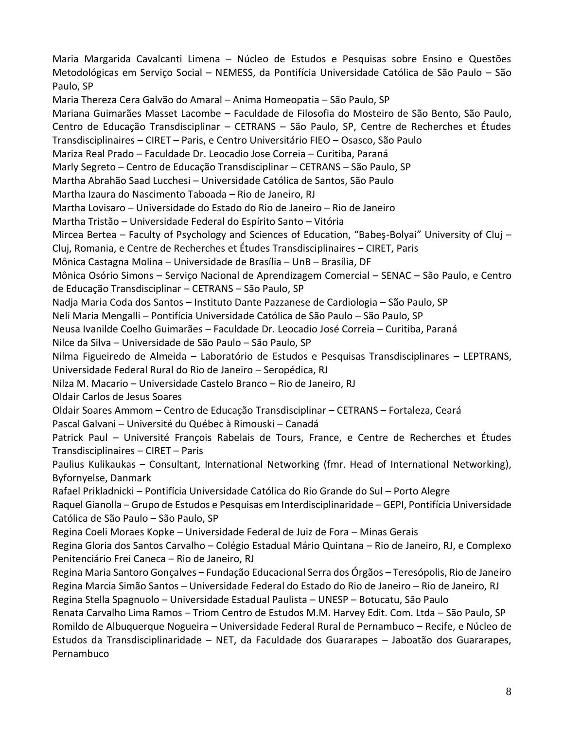Maria Margarida Cavalcanti Limena – Núcleo de Estudos e Pesquisas sobre Ensino e Questões Metodológicas em Serviço Social – NEMESS, da Pontifícia Universidade Católica de São Paulo – São Paulo, SP Maria Thereza Cera Galvão do Amaral – Anima Homeopatia – São Paulo, SP Mariana Guimarães Masset Lacombe – Faculdade de Filosofia do Mosteiro de São Bento, São Paulo, Centro de Educação Transdisciplinar – CETRANS – São Paulo, SP, Centre de Recherches et Études Transdisciplinaires – CIRET – Paris, e Centro Universitário FIEO – Osasco, São Paulo Mariza Real Prado – Faculdade Dr. Leocadio Jose Correia – Curitiba, Paraná Marly Segreto – Centro de Educação Transdisciplinar – CETRANS – São Paulo, SP Martha Abrahão Saad Lucchesi – Universidade Católica de Santos, São Paulo Martha Izaura do Nascimento Taboada – Rio de Janeiro, RJ Martha Lovisaro – Universidade do Estado do Rio de Janeiro – Rio de Janeiro Martha Tristão – Universidade Federal do Espírito Santo – Vitória Mircea Bertea – Faculty of Psychology and Sciences of Education, "Babeş-Bolyai" University of Cluj – Cluj, Romania, e Centre de Recherches et Études Transdisciplinaires – CIRET, Paris Mônica Castagna Molina – Universidade de Brasília – UnB – Brasília, DF Mônica Osório Simons – Serviço Nacional de Aprendizagem Comercial – SENAC – São Paulo, e Centro de Educação Transdisciplinar – CETRANS – São Paulo, SP Nadja Maria Coda dos Santos – Instituto Dante Pazzanese de Cardiologia – São Paulo, SP Neli Maria Mengalli – Pontifícia Universidade Católica de São Paulo – São Paulo, SP Neusa Ivanilde Coelho Guimarães – Faculdade Dr. Leocadio José Correia – Curitiba, Paraná Nilce da Silva – Universidade de São Paulo – São Paulo, SP Nilma Figueiredo de Almeida – Laboratório de Estudos e Pesquisas Transdisciplinares – LEPTRANS, Universidade Federal Rural do Rio de Janeiro – Seropédica, RJ Nilza M. Macario – Universidade Castelo Branco – Rio de Janeiro, RJ Oldair Carlos de Jesus Soares Oldair Soares Ammom – Centro de Educação Transdisciplinar – CETRANS – Fortaleza, Ceará Pascal Galvani – Université du Québec à Rimouski – Canadá Patrick Paul – Université François Rabelais de Tours, France, e Centre de Recherches et Études Transdisciplinaires – CIRET – Paris Paulius Kulikaukas – Consultant, International Networking (fmr. Head of International Networking), Byfornyelse, Danmark Rafael Prikladnicki – Pontifícia Universidade Católica do Rio Grande do Sul – Porto Alegre Raquel Gianolla – Grupo de Estudos e Pesquisas em Interdisciplinaridade – GEPI, Pontifícia Universidade Católica de São Paulo – São Paulo, SP Regina Coeli Moraes Kopke – Universidade Federal de Juiz de Fora – Minas Gerais Regina Gloria dos Santos Carvalho – Colégio Estadual Mário Quintana – Rio de Janeiro, RJ, e Complexo Penitenciário Frei Caneca – Rio de Janeiro, RJ Regina Maria Santoro Gonçalves – Fundação Educacional Serra dos Órgãos – Teresópolis, Rio de Janeiro Regina Marcia Simão Santos – Universidade Federal do Estado do Rio de Janeiro – Rio de Janeiro, RJ Regina Stella Spagnuolo – Universidade Estadual Paulista – UNESP – Botucatu, São Paulo Renata Carvalho Lima Ramos – Triom Centro de Estudos M.M. Harvey Edit. Com. Ltda – São Paulo, SP Romildo de Albuquerque Nogueira – Universidade Federal Rural de Pernambuco – Recife, e Núcleo de Estudos da Transdisciplinaridade – NET, da Faculdade dos Guararapes – Jaboatão dos Guararapes, Pernambuco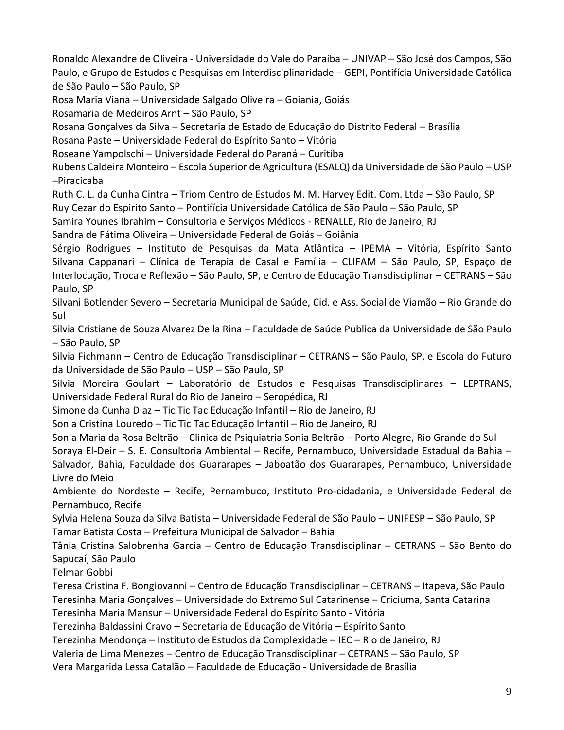Ronaldo Alexandre de Oliveira - Universidade do Vale do Paraíba – UNIVAP – São José dos Campos, São Paulo, e Grupo de Estudos e Pesquisas em Interdisciplinaridade – GEPI, Pontifícia Universidade Católica de São Paulo – São Paulo, SP

Rosa Maria Viana – Universidade Salgado Oliveira – Goiania, Goiás

Rosamaria de Medeiros Arnt – São Paulo, SP

Rosana Gonçalves da Silva – Secretaria de Estado de Educação do Distrito Federal – Brasília

Rosana Paste – Universidade Federal do Espírito Santo – Vitória

Roseane Yampolschi – Universidade Federal do Paraná – Curitiba

Rubens Caldeira Monteiro – Escola Superior de Agricultura (ESALQ) da Universidade de São Paulo – USP –Piracicaba

Ruth C. L. da Cunha Cintra – Triom Centro de Estudos M. M. Harvey Edit. Com. Ltda – São Paulo, SP Ruy Cezar do Espirito Santo – Pontifícia Universidade Católica de São Paulo – São Paulo, SP

Samira Younes Ibrahim – Consultoria e Serviços Médicos - RENALLE, Rio de Janeiro, RJ

Sandra de Fátima Oliveira – Universidade Federal de Goiás – Goiânia

Sérgio Rodrigues – Instituto de Pesquisas da Mata Atlântica – IPEMA – Vitória, Espírito Santo Silvana Cappanari – Clínica de Terapia de Casal e Família – CLIFAM – São Paulo, SP, Espaço de Interlocução, Troca e Reflexão – São Paulo, SP, e Centro de Educação Transdisciplinar – CETRANS – São Paulo, SP

Silvani Botlender Severo – Secretaria Municipal de Saúde, Cid. e Ass. Social de Viamão – Rio Grande do Sul

Silvia Cristiane de Souza Alvarez Della Rina – Faculdade de Saúde Publica da Universidade de São Paulo – São Paulo, SP

Silvia Fichmann – Centro de Educação Transdisciplinar – CETRANS – São Paulo, SP, e Escola do Futuro da Universidade de São Paulo – USP – São Paulo, SP

Silvia Moreira Goulart – Laboratório de Estudos e Pesquisas Transdisciplinares – LEPTRANS, Universidade Federal Rural do Rio de Janeiro – Seropédica, RJ

Simone da Cunha Diaz – Tic Tic Tac Educação Infantil – Rio de Janeiro, RJ

Sonia Cristina Louredo – Tic Tic Tac Educação Infantil – Rio de Janeiro, RJ

Sonia Maria da Rosa Beltrão – Clinica de Psiquiatria Sonia Beltrão – Porto Alegre, Rio Grande do Sul

Soraya El-Deir – S. E. Consultoria Ambiental – Recife, Pernambuco, Universidade Estadual da Bahia – Salvador, Bahia, Faculdade dos Guararapes – Jaboatão dos Guararapes, Pernambuco, Universidade Livre do Meio

Ambiente do Nordeste – Recife, Pernambuco, Instituto Pro-cidadania, e Universidade Federal de Pernambuco, Recife

Sylvia Helena Souza da Silva Batista – Universidade Federal de São Paulo – UNIFESP – São Paulo, SP Tamar Batista Costa – Prefeitura Municipal de Salvador – Bahia

Tânia Cristina Salobrenha Garcia – Centro de Educação Transdisciplinar – CETRANS – São Bento do Sapucaí, São Paulo

Telmar Gobbi

Teresa Cristina F. Bongiovanni – Centro de Educação Transdisciplinar – CETRANS – Itapeva, São Paulo Teresinha Maria Gonçalves – Universidade do Extremo Sul Catarinense – Criciuma, Santa Catarina

Teresinha Maria Mansur – Universidade Federal do Espírito Santo - Vitória

Terezinha Baldassini Cravo – Secretaria de Educação de Vitória – Espírito Santo

Terezinha Mendonça – Instituto de Estudos da Complexidade – IEC – Rio de Janeiro, RJ

Valeria de Lima Menezes – Centro de Educação Transdisciplinar – CETRANS – São Paulo, SP

Vera Margarida Lessa Catalão – Faculdade de Educação - Universidade de Brasília